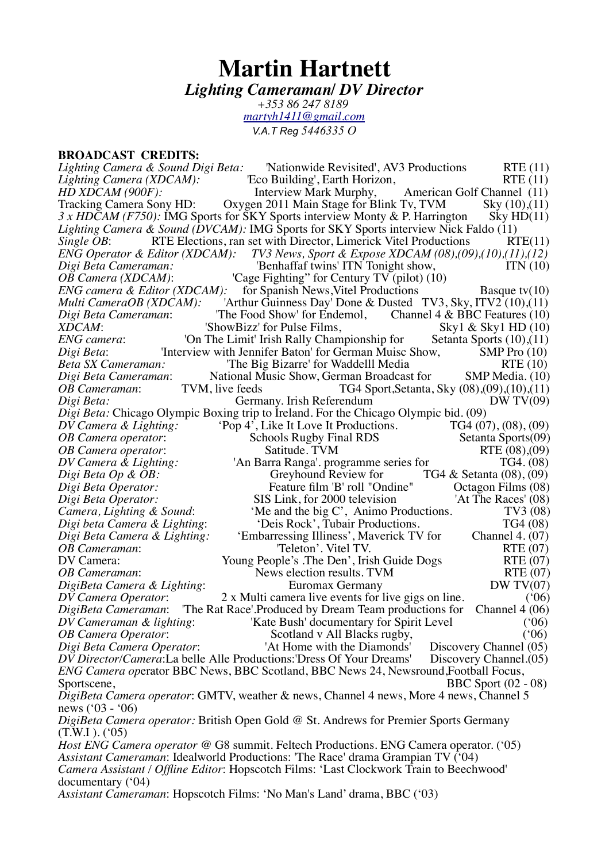# **Martin Hartnett** *Lighting Cameraman/ DV Director*

*+353 86 247 8189 [martyh1411@gmail.com](mailto:martyh1411@gmail.com) V.A.T Reg 5446335 O*

**BROADCAST CREDITS:**<br>*Lighting Camera & Sound Digi Beta: Lighting Camera & Sound Digi Beta:* 'Nationwide Revisited', AV3 Productions RTE (11)<br>*Lighting Camera (XDCAM):* ''Eco Building', Earth Horizon, RTE (11) *Lighting Camera (XDCAM):* <sup>'</sup>Eco Building', Earth Horizon,<br>*HD XDCAM (900F):* <sup>Interview Mark Murphy.</sup> *HD XDCAM (900F):* **Interview Mark Murphy,** American Golf Channel (11) Tracking Camera Sony HD: Oxygen 2011 Main Stage for Blink Tv, TVM Sky (10),(11) Oxygen 2011 Main Stage for Blink Tv, TVM Sky  $(10)$ , $(11)$  for SKY Sports interview Monty & P. Harrington Sky HD $(11)$ *3 x HDCAM (F750):* IMG Sports for SKY Sports interview Monty & P. Harrington *Lighting Camera & Sound (DVCAM):* IMG Sports for SKY Sports interview Nick Faldo (11)<br>*Single OB*: RTE Elections, ran set with Director, Limerick Vitel Productions RTE(11) *Single OB*: RTE Elections, ran set with Director, Limerick Vitel Productions ENG Operator & Editor (XDCAM): TV3 News, Sport & Expose XDCAM (08), (09) *ENG Operator & Editor (XDCAM): TV3 News, Sport & Expose XDCAM (08),(09),(10),(11),(12)*<br>*Digi Beta Cameraman: Fore periodic interface in the Benhaffaf twins' ITN Tonight show. Form (10) Digi Beta Cameraman:* <sup>'</sup>Benhaffaf twins' ITN Tonight show,<br>*OB Camera (XDCAM)*: <sup>'</sup>Cage Fighting'' for Century TV (pilot) (1) *OB Camera (XDCAM)*: 'Cage Fighting'' for Century TV (pilot) (10)<br>*ENG camera & Editor (XDCAM)*: for Spanish News Vitel Productions *ENG camera & Editor (XDCAM):* for Spanish News, Vitel Productions **Basque tv(10)**<br> *Multi CameraOB (XDCAM):* 'Arthur Guinness Day' Done & Dusted TV3, Sky, ITV2 (10),(11) *Multi CameraOB (XDCAM):* 'Arthur Guinness Day' Done & Dusted TV3, Sky, ITV2 (10), (11)<br>*Digi Beta Cameraman:* ''The Food Show' for Endemol. Channel 4 & BBC Features (10) *Digi Beta Cameraman*: 'The Food Show' for Endemol, Channel 4 & BBC Features (10)<br>XDCAM: 'ShowBizz' for Pulse Films, Sky1 & Sky1 HD (10) *XDCAM*: 'ShowBizz' for Pulse Films, Sky1 & Sky1 HD (10)<br>*ENG camera*: 'On The Limit' Irish Rally Championship for Setanta Sports (10),(11) *ENG camera*: 'On The Limit' Irish Rally Championship for Setanta Sports (10),(11) *Digi Beta*: 'Interview with Jennifer Baton' for German Muisc Show, SMP Pro (10) *Digi Beta*: 'Interview with Jennifer Baton' for German Muisc Show, SMP Pro (10)<br>*Beta SX Cameraman*: ''The Big Bizarre' for Waddelll Media RTE (10) *Beta SX Cameraman:* <sup>'</sup>The Big Bizarre' for Waddelll Media *RTE* (10)<br>*Digi Beta Cameraman:* National Music Show, German Broadcast for SMP Media, (10) *Digi Beta Cameraman*: National Music Show, German Broadcast for *OB Cameraman*: TVM, live feeds TG4 Sport, Setanta. *OB Cameraman*: TVM, live feeds TG4 Sport,Setanta, Sky (08),(09),(10),(11)<br>*Digi Beta*: Germany. Irish Referendum DW TV(09) Germany. Irish Referendum *Digi Beta:* Chicago Olympic Boxing trip to Ireland. For the Chicago Olympic bid. (09)<br>*DV Camera & Lighting:* 'Pop 4', Like It Love It Productions. TG4 (07), (08), (09) Pop 4', Like It Love It Productions. TG4 (07), (08), (09)<br>Schools Rugby Final RDS Setanta Sports (09) *OB Camera operator*: Schools Rugby Final RDS *OB Camera operator*: Satitude. TVM RTE (08),(09) *DV Camera & Lighting:* <sup>'</sup>An Barra Ranga'. programme series for TG4. (08)<br>*Digi Beta Op & OB*: **Creyhound Review for** TG4 & Setanta (08), (09) *Digi Beta Op & OB:* **Greyhound Review for** TG4 & Setanta (08), (09) *Digi Beta Operator:* **Greening Community** *Geta* Community *Geta Cherrator:* **Greening Community** *Geta Cherrator:* **Greening Community** *Geta Cherrator Digi Beta Operator:* Feature film 'B' roll "Ondine" *Digi Beta Operator:* SIS Link, for 2000 television *Digi Beta Operator:* **SIS Link, for 2000 television** 'At The Races' (08)<br>Camera, Lighting & Sound: 'Me and the big C', Animo Productions. TV3 (08) *Camera, Lighting & Sound:* 'Me and the big C', Animo Productions. TV3 (08)<br> *Digi beta Camera & Lighting*: 'Deis Rock', Tubair Productions. TG4 (08) *'Deis Rock', Tubair Productions. Digi Beta Camera & Lighting:* 'Embarressing Illiness', Maverick TV for Channel 4. (07) *OB Cameraman*: "Teleton'. Vitel TV. RTE (07)<br>DV Camera: Young People's .The Den', Irish Guide Dogs RTE (07) Young People's .The Den', Irish Guide Dogs RTE (07)<br>News election results. TVM RTE (07) *OB Cameraman*: News election results. TVM *DigiBeta Camera & Lighting*: Euromax Germany *DW TV(07)*<br>*DV Camera Operator*: 2 x Multi camera live events for live gigs on line. (06) *DV Camera Operator*: 2 x Multi camera live events for live gigs on line. ('06)<br>*DigiBeta Cameraman*: 'The Rat Race'.Produced by Dream Team productions for Channel 4 (06) 'The Rat Race'.Produced by Dream Team productions for *DV Cameraman & lighting*: 'Kate Bush' documentary for Spirit Level ('06) *OB Camera Operator*: Scotland v All Blacks rugby, ('06)<br> *Digi Beta Camera Operator*: 'At Home with the Diamonds' Discovery Channel (05) *Digi Beta Camera Operator*: 'At Home with the Diamonds' Discovery Channel (05)<br>*DV Director/Camera*:La belle Alle Productions:'Dress Of Your Dreams' Discovery Channel.(05) *DV Director/Camera*:La belle Alle Productions:'Dress Of Your Dreams' *ENG Camera op*erator BBC News, BBC Scotland, BBC News 24, Newsround,Football Focus, Sportscene, BBC Sport (02 - 08) *DigiBeta Camera operator*: GMTV, weather & news, Channel 4 news, More 4 news, Channel 5 news ('03 - '06) *DigiBeta Camera operator:* British Open Gold @ St. Andrews for Premier Sports Germany (T.W.I ). ('05) *Host ENG Camera operator* @ G8 summit. Feltech Productions. ENG Camera operator. ('05) *Assistant Cameraman*: Idealworld Productions: 'The Race' drama Grampian TV ('04) *Camera Assistant / Offline Editor*: Hopscotch Films: 'Last Clockwork Train to Beechwood' documentary ('04)

*Assistant Cameraman*: Hopscotch Films: 'No Man's Land' drama, BBC ('03)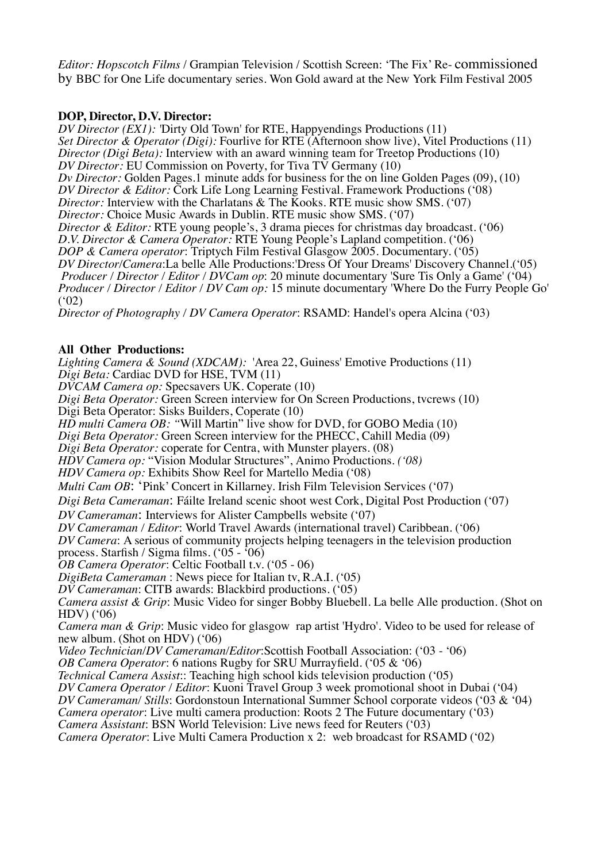*Editor: Hopscotch Films* / Grampian Television / Scottish Screen: 'The Fix' Re- commissioned by BBC for One Life documentary series. Won Gold award at the New York Film Festival 2005

## **DOP, Director, D.V. Director:**

*DV Director (EX1): '*Dirty Old Town' for RTE, Happyendings Productions (11) *Set Director & Operator (Digi):* Fourlive for RTE (Afternoon show live), Vitel Productions (11) *Director (Digi Beta):* Interview with an award winning team for Treetop Productions (10) *DV Director:* EU Commission on Poverty, for Tiva TV Germany (10) *Dv Director:* Golden Pages.1 minute adds for business for the on line Golden Pages (09), (10) *DV Director & Editor:* Cork Life Long Learning Festival. Framework Productions ('08) *Director:* Interview with the Charlatans & The Kooks. RTE music show SMS. ('07) *Director:* Choice Music Awards in Dublin. RTE music show SMS. ('07) *Director & Editor:* RTE young people's, 3 drama pieces for christmas day broadcast. ('06) *D.V. Director & Camera Operator:* RTE Young People's Lapland competition. ('06) *DOP & Camera operator*: Triptych Film Festival Glasgow 2005. Documentary. ('05) *DV Director/Camera*:La belle Alle Productions:'Dress Of Your Dreams' Discovery Channel.('05) *Producer / Director / Editor / DVCam op*: 20 minute documentary 'Sure Tis Only a Game' ('04) *Producer / Director / Editor / DV Cam op:* 15 minute documentary 'Where Do the Furry People Go'  $(92)$ 

*Director of Photography / DV Camera Operator*: RSAMD: Handel's opera Alcina ('03)

# **All Other Productions:**

*Lighting Camera & Sound (XDCAM):* 'Area 22, Guiness' Emotive Productions (11) *Digi Beta:* Cardiac DVD for HSE, TVM (11)

*DVCAM Camera op:* Specsavers UK. Coperate (10)

*Digi Beta Operator:* Green Screen interview for On Screen Productions, tvcrews (10)

Digi Beta Operator: Sisks Builders, Coperate (10)

*HD multi Camera OB: "*Will Martin" live show for DVD, for GOBO Media (10)

*Digi Beta Operator:* Green Screen interview for the PHECC, Cahill Media (09)

*Digi Beta Operator:* coperate for Centra, with Munster players. (08)

*HDV Camera op:* "Vision Modular Structures", Animo Productions*. ('08)*

*HDV Camera op:* Exhibits Show Reel for Martello Media ('08)

*Multi Cam OB*: 'Pink' Concert in Killarney. Irish Film Television Services ('07)

*Digi Beta Cameraman*: Fáilte Ireland scenic shoot west Cork, Digital Post Production ('07)

*DV Cameraman*: Interviews for Alister Campbells website ('07)

*DV Cameraman / Editor*: World Travel Awards (international travel) Caribbean. ('06)

*DV Camera*: A serious of community projects helping teenagers in the television production process. Starfish / Sigma films. ('05 - '06)

*OB Camera Operator*: Celtic Football t.v. ('05 - 06)

*DigiBeta Cameraman* : News piece for Italian tv, R.A.I. ('05)

*DV Cameraman*: CITB awards: Blackbird productions. ('05)

*Camera assist & Grip*: Music Video for singer Bobby Bluebell. La belle Alle production. (Shot on HDV) ('06)

*Camera man & Grip*: Music video for glasgow rap artist 'Hydro'. Video to be used for release of new album. (Shot on HDV) ('06)

*Video Technician/DV Cameraman/Editor*:Scottish Football Association: ('03 - '06)

*OB Camera Operator*: 6 nations Rugby for SRU Murrayfield. ('05 & '06)

*Technical Camera Assist*:: Teaching high school kids television production ('05)

*DV Camera Operator / Editor*: Kuoni Travel Group 3 week promotional shoot in Dubai ('04)

*DV Cameraman/ Stills*: Gordonstoun International Summer School corporate videos ('03 & '04)

*Camera operator*: Live multi camera production: Roots 2 The Future documentary ('03)

*Camera Assistant*: BSN World Television: Live news feed for Reuters ('03)

*Camera Operator*: Live Multi Camera Production x 2: web broadcast for RSAMD ('02)